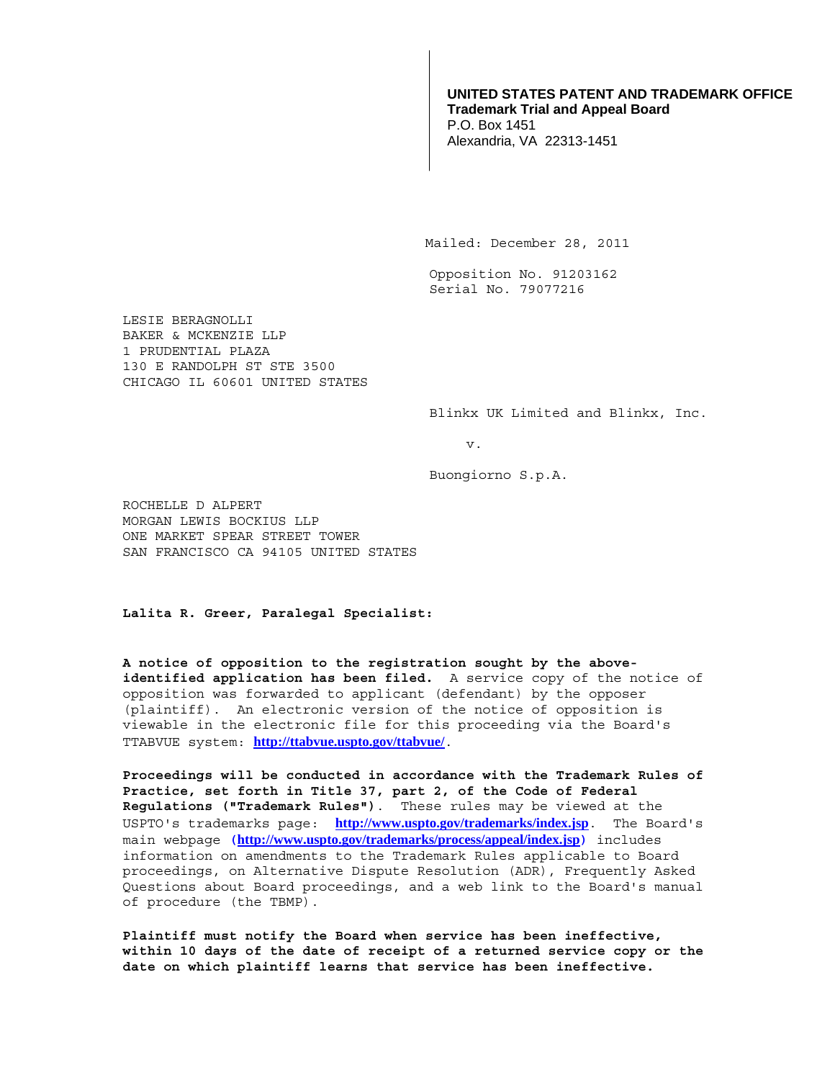## **UNITED STATES PATENT AND TRADEMARK OFFICE Trademark Trial and Appeal Board**  P.O. Box 1451 Alexandria, VA 22313-1451

Mailed: December 28, 2011

Opposition No. 91203162 Serial No. 79077216

LESIE BERAGNOLLI BAKER & MCKENZIE LLP 1 PRUDENTIAL PLAZA 130 E RANDOLPH ST STE 3500 CHICAGO IL 60601 UNITED STATES

Blinkx UK Limited and Blinkx, Inc.

v.

Buongiorno S.p.A.

ROCHELLE D ALPERT MORGAN LEWIS BOCKIUS LLP ONE MARKET SPEAR STREET TOWER SAN FRANCISCO CA 94105 UNITED STATES

**Lalita R. Greer, Paralegal Specialist:** 

**A notice of opposition to the registration sought by the aboveidentified application has been filed.** A service copy of the notice of opposition was forwarded to applicant (defendant) by the opposer (plaintiff). An electronic version of the notice of opposition is viewable in the electronic file for this proceeding via the Board's TTABVUE system: **http://ttabvue.uspto.gov/ttabvue/**.

**Proceedings will be conducted in accordance with the Trademark Rules of Practice, set forth in Title 37, part 2, of the Code of Federal Regulations ("Trademark Rules")**.These rules may be viewed at the USPTO's trademarks page: **http://www.uspto.gov/trademarks/index.jsp**. The Board's main webpage **(http://www.uspto.gov/trademarks/process/appeal/index.jsp)** includes information on amendments to the Trademark Rules applicable to Board proceedings, on Alternative Dispute Resolution (ADR), Frequently Asked Questions about Board proceedings, and a web link to the Board's manual of procedure (the TBMP).

**Plaintiff must notify the Board when service has been ineffective, within 10 days of the date of receipt of a returned service copy or the date on which plaintiff learns that service has been ineffective.**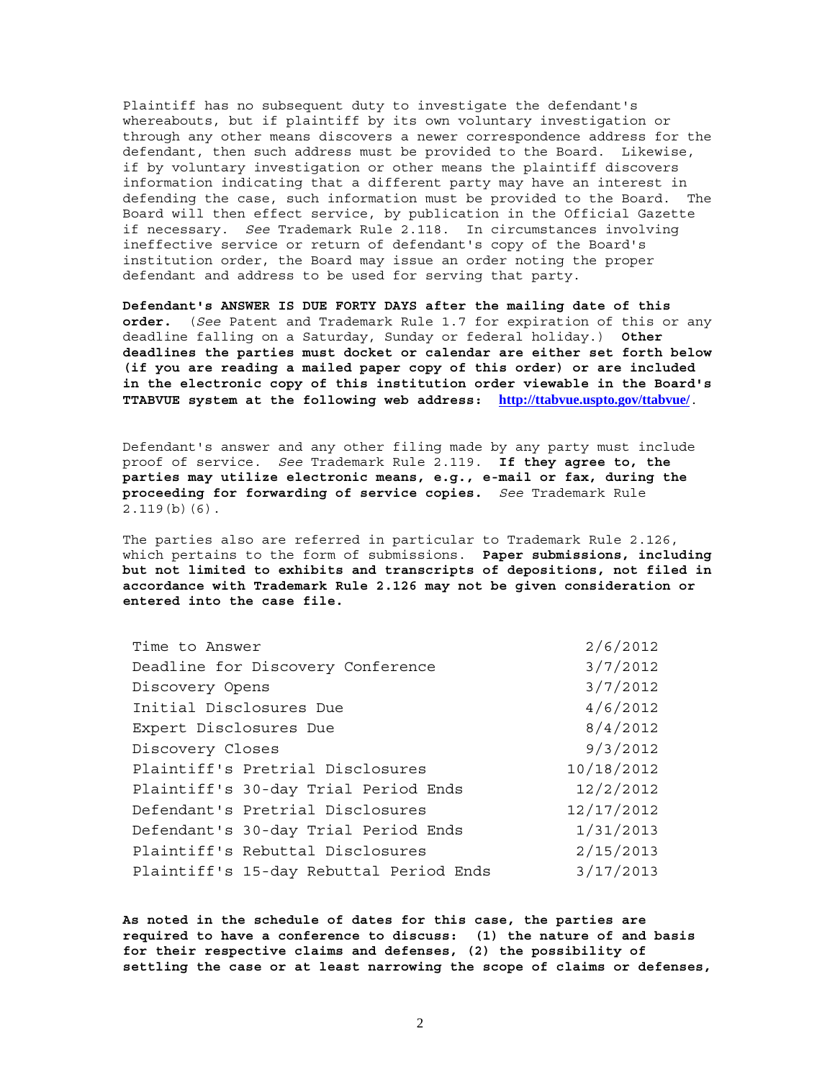Plaintiff has no subsequent duty to investigate the defendant's whereabouts, but if plaintiff by its own voluntary investigation or through any other means discovers a newer correspondence address for the defendant, then such address must be provided to the Board. Likewise, if by voluntary investigation or other means the plaintiff discovers information indicating that a different party may have an interest in defending the case, such information must be provided to the Board. The Board will then effect service, by publication in the Official Gazette if necessary. *See* Trademark Rule 2.118. In circumstances involving ineffective service or return of defendant's copy of the Board's institution order, the Board may issue an order noting the proper defendant and address to be used for serving that party.

**Defendant's ANSWER IS DUE FORTY DAYS after the mailing date of this order.** (*See* Patent and Trademark Rule 1.7 for expiration of this or any deadline falling on a Saturday, Sunday or federal holiday.) **Other deadlines the parties must docket or calendar are either set forth below (if you are reading a mailed paper copy of this order) or are included in the electronic copy of this institution order viewable in the Board's TTABVUE system at the following web address: http://ttabvue.uspto.gov/ttabvue/**.

Defendant's answer and any other filing made by any party must include proof of service. *See* Trademark Rule 2.119. **If they agree to, the parties may utilize electronic means, e.g., e-mail or fax, during the proceeding for forwarding of service copies.** *See* Trademark Rule 2.119(b)(6).

The parties also are referred in particular to Trademark Rule 2.126, which pertains to the form of submissions. **Paper submissions, including but not limited to exhibits and transcripts of depositions, not filed in accordance with Trademark Rule 2.126 may not be given consideration or entered into the case file.**

| Time to Answer                          | 2/6/2012   |
|-----------------------------------------|------------|
| Deadline for Discovery Conference       | 3/7/2012   |
| Discovery Opens                         | 3/7/2012   |
| Initial Disclosures Due                 | 4/6/2012   |
| Expert Disclosures Due                  | 8/4/2012   |
| Discovery Closes                        | 9/3/2012   |
| Plaintiff's Pretrial Disclosures        | 10/18/2012 |
| Plaintiff's 30-day Trial Period Ends    | 12/2/2012  |
| Defendant's Pretrial Disclosures        | 12/17/2012 |
| Defendant's 30-day Trial Period Ends    | 1/31/2013  |
| Plaintiff's Rebuttal Disclosures        | 2/15/2013  |
| Plaintiff's 15-day Rebuttal Period Ends | 3/17/2013  |

**As noted in the schedule of dates for this case, the parties are required to have a conference to discuss: (1) the nature of and basis for their respective claims and defenses, (2) the possibility of settling the case or at least narrowing the scope of claims or defenses,**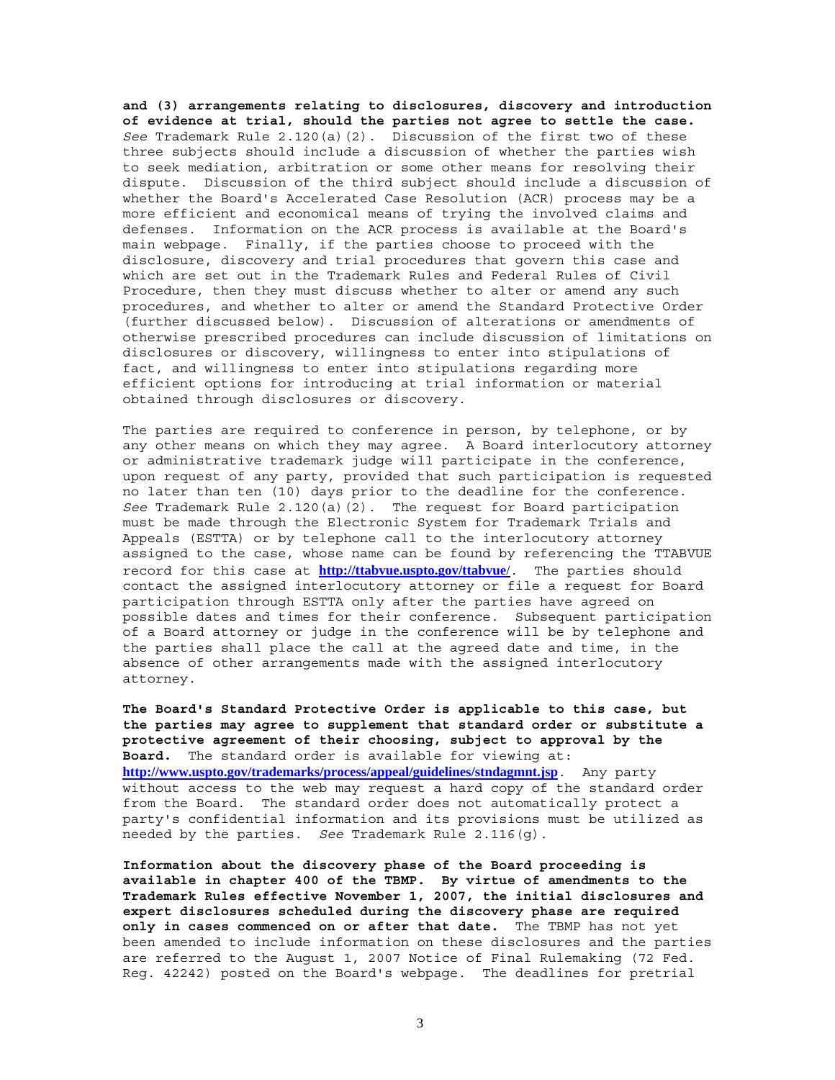**and (3) arrangements relating to disclosures, discovery and introduction of evidence at trial, should the parties not agree to settle the case.** *See* Trademark Rule 2.120(a)(2). Discussion of the first two of these three subjects should include a discussion of whether the parties wish to seek mediation, arbitration or some other means for resolving their dispute. Discussion of the third subject should include a discussion of whether the Board's Accelerated Case Resolution (ACR) process may be a more efficient and economical means of trying the involved claims and defenses. Information on the ACR process is available at the Board's main webpage. Finally, if the parties choose to proceed with the disclosure, discovery and trial procedures that govern this case and which are set out in the Trademark Rules and Federal Rules of Civil Procedure, then they must discuss whether to alter or amend any such procedures, and whether to alter or amend the Standard Protective Order (further discussed below). Discussion of alterations or amendments of otherwise prescribed procedures can include discussion of limitations on disclosures or discovery, willingness to enter into stipulations of fact, and willingness to enter into stipulations regarding more efficient options for introducing at trial information or material obtained through disclosures or discovery.

The parties are required to conference in person, by telephone, or by any other means on which they may agree. A Board interlocutory attorney or administrative trademark judge will participate in the conference, upon request of any party, provided that such participation is requested no later than ten (10) days prior to the deadline for the conference. *See* Trademark Rule 2.120(a)(2). The request for Board participation must be made through the Electronic System for Trademark Trials and Appeals (ESTTA) or by telephone call to the interlocutory attorney assigned to the case, whose name can be found by referencing the TTABVUE record for this case at **http://ttabvue.uspto.gov/ttabvue**/. The parties should contact the assigned interlocutory attorney or file a request for Board participation through ESTTA only after the parties have agreed on possible dates and times for their conference. Subsequent participation of a Board attorney or judge in the conference will be by telephone and the parties shall place the call at the agreed date and time, in the absence of other arrangements made with the assigned interlocutory attorney.

**The Board's Standard Protective Order is applicable to this case, but the parties may agree to supplement that standard order or substitute a protective agreement of their choosing, subject to approval by the Board.** The standard order is available for viewing at: **http://www.uspto.gov/trademarks/process/appeal/guidelines/stndagmnt.jsp**. Any party without access to the web may request a hard copy of the standard order from the Board. The standard order does not automatically protect a party's confidential information and its provisions must be utilized as needed by the parties. *See* Trademark Rule 2.116(g).

**Information about the discovery phase of the Board proceeding is available in chapter 400 of the TBMP. By virtue of amendments to the Trademark Rules effective November 1, 2007, the initial disclosures and expert disclosures scheduled during the discovery phase are required only in cases commenced on or after that date.** The TBMP has not yet been amended to include information on these disclosures and the parties are referred to the August 1, 2007 Notice of Final Rulemaking (72 Fed. Reg. 42242) posted on the Board's webpage. The deadlines for pretrial